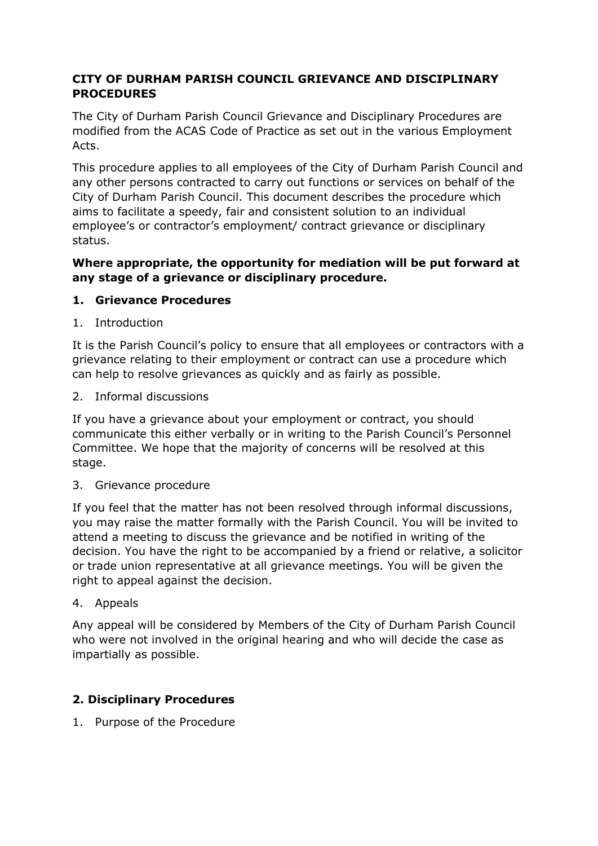# **CITY OF DURHAM PARISH COUNCIL GRIEVANCE AND DISCIPLINARY PROCEDURES**

The City of Durham Parish Council Grievance and Disciplinary Procedures are modified from the ACAS Code of Practice as set out in the various Employment Acts.

This procedure applies to all employees of the City of Durham Parish Council and any other persons contracted to carry out functions or services on behalf of the City of Durham Parish Council. This document describes the procedure which aims to facilitate a speedy, fair and consistent solution to an individual employee's or contractor's employment/ contract grievance or disciplinary status.

#### **Where appropriate, the opportunity for mediation will be put forward at any stage of a grievance or disciplinary procedure.**

# **1. Grievance Procedures**

1. Introduction

It is the Parish Council's policy to ensure that all employees or contractors with a grievance relating to their employment or contract can use a procedure which can help to resolve grievances as quickly and as fairly as possible.

2. Informal discussions

If you have a grievance about your employment or contract, you should communicate this either verbally or in writing to the Parish Council's Personnel Committee. We hope that the majority of concerns will be resolved at this stage.

3. Grievance procedure

If you feel that the matter has not been resolved through informal discussions, you may raise the matter formally with the Parish Council. You will be invited to attend a meeting to discuss the grievance and be notified in writing of the decision. You have the right to be accompanied by a friend or relative, a solicitor or trade union representative at all grievance meetings. You will be given the right to appeal against the decision.

4. Appeals

Any appeal will be considered by Members of the City of Durham Parish Council who were not involved in the original hearing and who will decide the case as impartially as possible.

# **2. Disciplinary Procedures**

1. Purpose of the Procedure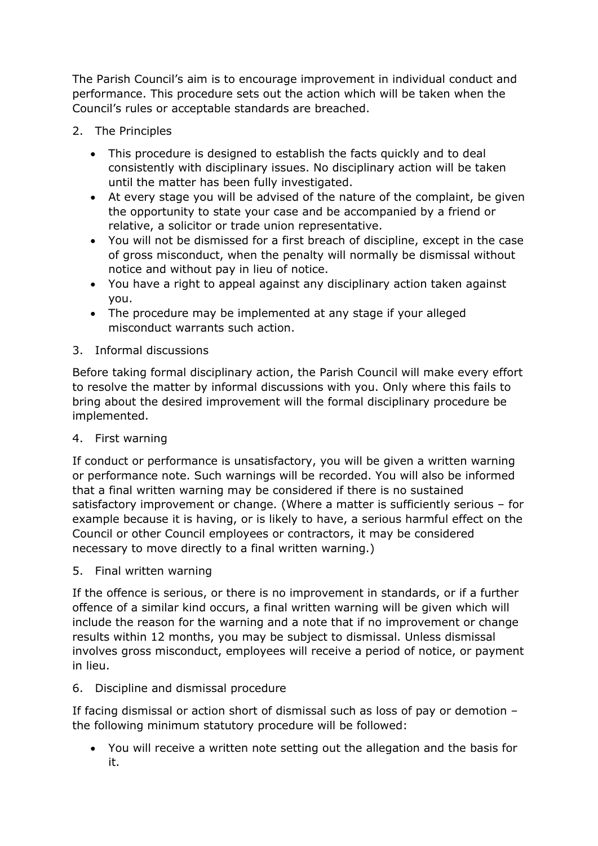The Parish Council's aim is to encourage improvement in individual conduct and performance. This procedure sets out the action which will be taken when the Council's rules or acceptable standards are breached.

- 2. The Principles
	- This procedure is designed to establish the facts quickly and to deal consistently with disciplinary issues. No disciplinary action will be taken until the matter has been fully investigated.
	- At every stage you will be advised of the nature of the complaint, be given the opportunity to state your case and be accompanied by a friend or relative, a solicitor or trade union representative.
	- You will not be dismissed for a first breach of discipline, except in the case of gross misconduct, when the penalty will normally be dismissal without notice and without pay in lieu of notice.
	- You have a right to appeal against any disciplinary action taken against you.
	- The procedure may be implemented at any stage if your alleged misconduct warrants such action.
- 3. Informal discussions

Before taking formal disciplinary action, the Parish Council will make every effort to resolve the matter by informal discussions with you. Only where this fails to bring about the desired improvement will the formal disciplinary procedure be implemented.

4. First warning

If conduct or performance is unsatisfactory, you will be given a written warning or performance note. Such warnings will be recorded. You will also be informed that a final written warning may be considered if there is no sustained satisfactory improvement or change. (Where a matter is sufficiently serious – for example because it is having, or is likely to have, a serious harmful effect on the Council or other Council employees or contractors, it may be considered necessary to move directly to a final written warning.)

5. Final written warning

If the offence is serious, or there is no improvement in standards, or if a further offence of a similar kind occurs, a final written warning will be given which will include the reason for the warning and a note that if no improvement or change results within 12 months, you may be subject to dismissal. Unless dismissal involves gross misconduct, employees will receive a period of notice, or payment in lieu.

# 6. Discipline and dismissal procedure

If facing dismissal or action short of dismissal such as loss of pay or demotion – the following minimum statutory procedure will be followed:

• You will receive a written note setting out the allegation and the basis for it.